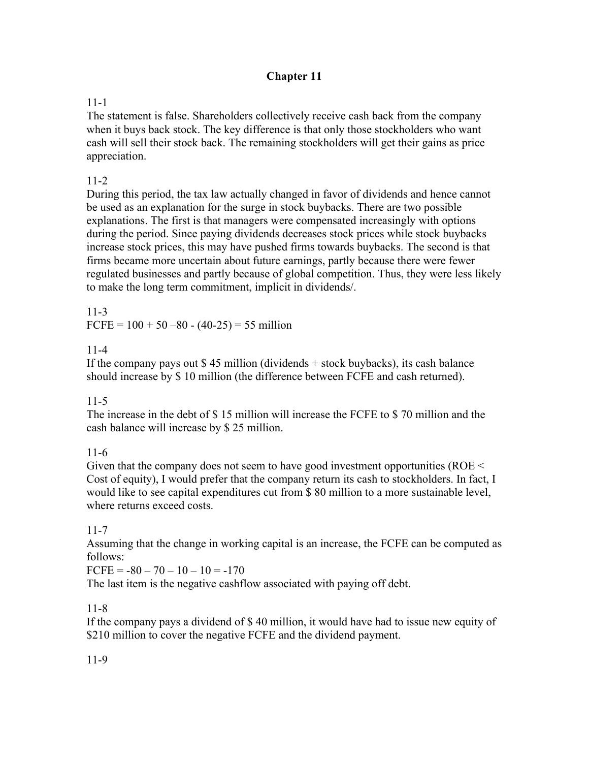# **Chapter 11**

# 11-1

The statement is false. Shareholders collectively receive cash back from the company when it buys back stock. The key difference is that only those stockholders who want cash will sell their stock back. The remaining stockholders will get their gains as price appreciation.

### 11-2

During this period, the tax law actually changed in favor of dividends and hence cannot be used as an explanation for the surge in stock buybacks. There are two possible explanations. The first is that managers were compensated increasingly with options during the period. Since paying dividends decreases stock prices while stock buybacks increase stock prices, this may have pushed firms towards buybacks. The second is that firms became more uncertain about future earnings, partly because there were fewer regulated businesses and partly because of global competition. Thus, they were less likely to make the long term commitment, implicit in dividends/.

11-3

FCFE =  $100 + 50 - 80 - (40 - 25) = 55$  million

### 11-4

If the company pays out \$ 45 million (dividends + stock buybacks), its cash balance should increase by \$ 10 million (the difference between FCFE and cash returned).

### 11-5

The increase in the debt of \$ 15 million will increase the FCFE to \$ 70 million and the cash balance will increase by \$ 25 million.

### 11-6

Given that the company does not seem to have good investment opportunities (ROE < Cost of equity), I would prefer that the company return its cash to stockholders. In fact, I would like to see capital expenditures cut from \$ 80 million to a more sustainable level, where returns exceed costs.

### 11-7

Assuming that the change in working capital is an increase, the FCFE can be computed as follows:

 $FCFE = -80 - 70 - 10 - 10 = -170$ 

The last item is the negative cashflow associated with paying off debt.

# 11-8

If the company pays a dividend of \$ 40 million, it would have had to issue new equity of \$210 million to cover the negative FCFE and the dividend payment.

# 11-9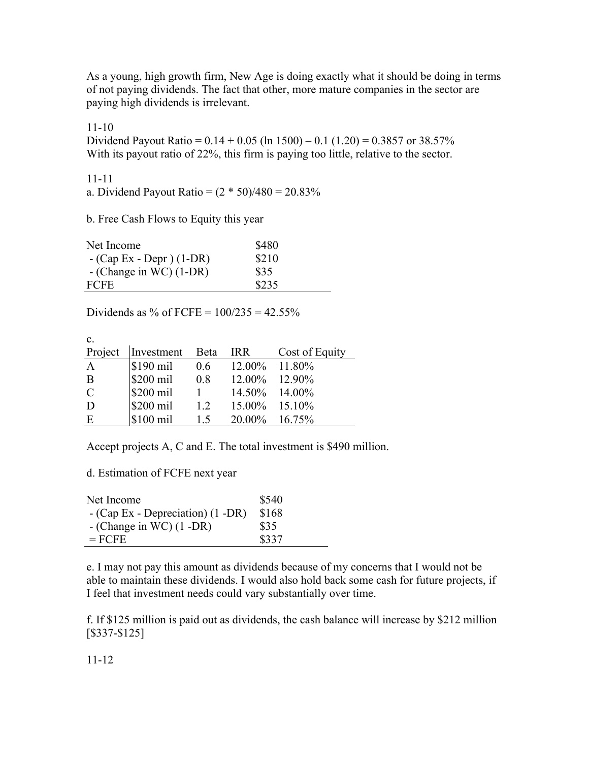As a young, high growth firm, New Age is doing exactly what it should be doing in terms of not paying dividends. The fact that other, more mature companies in the sector are paying high dividends is irrelevant.

11-10

Dividend Payout Ratio =  $0.14 + 0.05$  (ln 1500) – 0.1 (1.20) = 0.3857 or 38.57% With its payout ratio of 22%, this firm is paying too little, relative to the sector.

11-11 a. Dividend Payout Ratio =  $(2 * 50)/480 = 20.83\%$ 

b. Free Cash Flows to Equity this year

| Net Income                | \$480 |  |
|---------------------------|-------|--|
| $-(Cap Ex - Depr) (1-DR)$ | \$210 |  |
| $-$ (Change in WC) (1-DR) | \$35  |  |
| <b>FCFE</b>               | \$235 |  |

Dividends as % of FCFE =  $100/235 = 42.55%$ 

| $\mathbf{c}$ . |            |      |                  |                |
|----------------|------------|------|------------------|----------------|
| Project        | Investment | Beta | <b>IRR</b>       | Cost of Equity |
| $\mathbf{A}$   | \$190 mil  | 0.6  | $12.00\%$ 11.80% |                |
| B              | \$200 mil  | 0.8  | 12.00% 12.90%    |                |
| $\mathcal{C}$  | \$200 mil  |      | 14.50% 14.00%    |                |
| D              | \$200 mil  | 1.2  | $15.00\%$ 15.10% |                |
| E              | \$100 mil  | 15   | 20.00% 16.75%    |                |

Accept projects A, C and E. The total investment is \$490 million.

d. Estimation of FCFE next year

| Net Income                          | \$540 |
|-------------------------------------|-------|
| $-(Cap Ex - Depreciation) (1 - DR)$ | \$168 |
| $-$ (Change in WC) $(1$ -DR)        | \$35  |
| $=$ FCFE                            | \$337 |

e. I may not pay this amount as dividends because of my concerns that I would not be able to maintain these dividends. I would also hold back some cash for future projects, if I feel that investment needs could vary substantially over time.

f. If \$125 million is paid out as dividends, the cash balance will increase by \$212 million [\$337-\$125]

11-12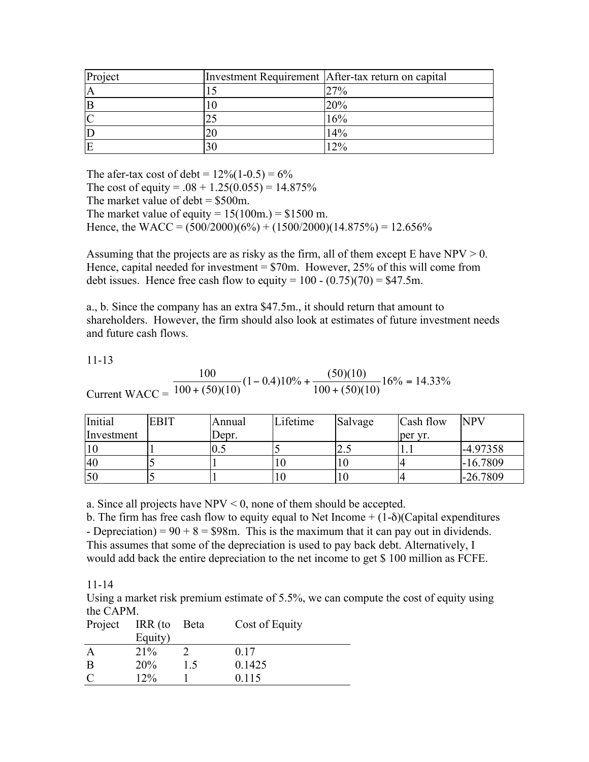| Project | Investment Requirement   After-tax return on capital |
|---------|------------------------------------------------------|
| A       | 27%                                                  |
| E       | 20%                                                  |
|         | 16%                                                  |
|         | 14%                                                  |
|         | $\mathcal{D}_{\alpha}$                               |

The afer-tax cost of debt =  $12\% (1-0.5) = 6\%$ The cost of equity =  $.08 + 1.25(0.055) = 14.875\%$ The market value of debt  $=$  \$500m. The market value of equity =  $15(100m)$  = \$1500 m. Hence, the WACC =  $(500/2000)(6\%) + (1500/2000)(14.875\%) = 12.656\%$ 

Assuming that the projects are as risky as the firm, all of them except  $E$  have  $NPV > 0$ . Hence, capital needed for investment  $= $70$ m. However, 25% of this will come from debt issues. Hence free cash flow to equity =  $100 - (0.75)(70) = $47.5$ m.

a., b. Since the company has an extra \$47.5m., it should return that amount to shareholders. However, the firm should also look at estimates of future investment needs and future cash flows.

11-13

Current  $WACC =$ 100  $100 + (50)(10$  $(1 - 0.4)10\% + \frac{(50)(10)}{(50)(10)}$  $100 + (50)(10$  $\frac{160}{(1-0.4)(10)}(1-0.4)10\% + \frac{(30)(10)}{100 + (50)(10)}16\% = 14.33\%$  $(1-0.4)10\% + \frac{(50)(10)}{100 + (50)(10)}16\% = 14.$ 

| Initial    | <b>EBIT</b> | Annual | Lifetime | Salvage | Cash flow | <b>NPV</b> |
|------------|-------------|--------|----------|---------|-----------|------------|
| Investment |             | Depr.  |          |         | per yr.   |            |
| 10         |             | U.J    |          | ر. پ    |           | $-4.97358$ |
| 40         |             |        |          | ΙU      |           | $-16.7809$ |
| 50         |             |        |          | 10      |           | $-26.7809$ |

a. Since all projects have NPV < 0, none of them should be accepted.

b. The firm has free cash flow to equity equal to Net Income  $+(1-\delta)(\text{Capital expenditures})$ - Depreciation) =  $90 + 8 = $98$ m. This is the maximum that it can pay out in dividends. This assumes that some of the depreciation is used to pay back debt. Alternatively, I would add back the entire depreciation to the net income to get \$ 100 million as FCFE.

11-14

Using a market risk premium estimate of 5.5%, we can compute the cost of equity using the CAPM.

| Project       | IRR (to | <b>Beta</b> | Cost of Equity |
|---------------|---------|-------------|----------------|
|               | Equity) |             |                |
| A             | 21%     |             | 0.17           |
| B             | 20%     | 15          | 0.1425         |
| $\mathcal{C}$ | $12\%$  |             | 0.115          |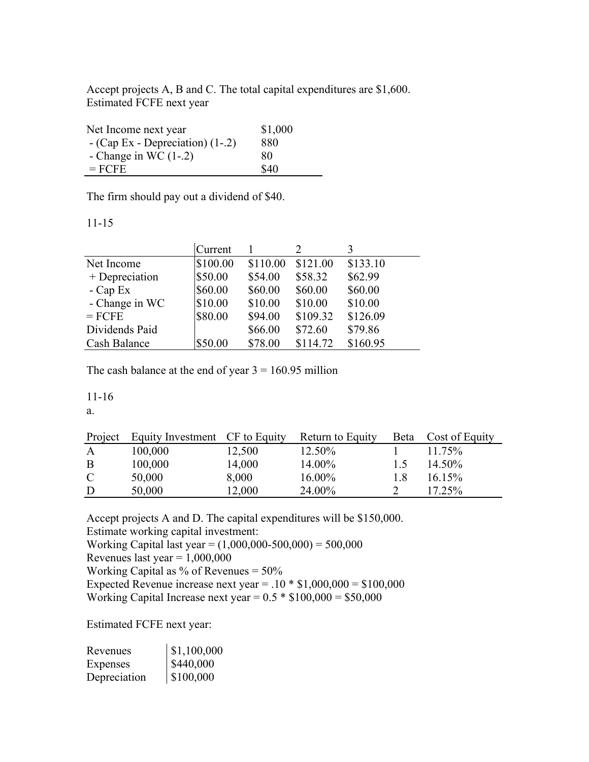Accept projects A, B and C. The total capital expenditures are \$1,600. Estimated FCFE next year

| Net Income next year               | \$1,000 |
|------------------------------------|---------|
| $-$ (Cap Ex - Depreciation) (1-.2) | 880     |
| - Change in WC $(1-2)$             | 80      |
| $=$ FCFE                           | \$40    |

The firm should pay out a dividend of \$40.

#### 11-15

|                | Current  |          |          |          |
|----------------|----------|----------|----------|----------|
| Net Income     | \$100.00 | \$110.00 | \$121.00 | \$133.10 |
| + Depreciation | \$50.00  | \$54.00  | \$58.32  | \$62.99  |
| $-Cap Ex$      | \$60.00  | \$60.00  | \$60.00  | \$60.00  |
| - Change in WC | \$10.00  | \$10.00  | \$10.00  | \$10.00  |
| $=$ FCFE       | \$80.00  | \$94.00  | \$109.32 | \$126.09 |
| Dividends Paid |          | \$66.00  | \$72.60  | \$79.86  |
| Cash Balance   | \$50.00  | \$78.00  | \$114.72 | \$160.95 |

The cash balance at the end of year  $3 = 160.95$  million

### 11-16

a.

| Project       | Equity Investment CF to Equity |        | Return to Equity | Beta         | Cost of Equity |
|---------------|--------------------------------|--------|------------------|--------------|----------------|
| $\mathbf{A}$  | 100,000                        | 12,500 | 12.50%           |              | $11.75\%$      |
| B             | 100,000                        | 14,000 | 14.00%           | $\mathsf{L}$ | 14.50%         |
| $\mathcal{C}$ | 50,000                         | 8,000  | 16.00%           | 18           | $16.15\%$      |
| D             | 50,000                         | 12,000 | 24.00%           |              | 17.25%         |
|               |                                |        |                  |              |                |

Accept projects A and D. The capital expenditures will be \$150,000. Estimate working capital investment: Working Capital last year = (1,000,000-500,000) = 500,000 Revenues last year =  $1,000,000$ Working Capital as % of Revenues = 50% Expected Revenue increase next year =  $.10 * $1,000,000 = $100,000$ Working Capital Increase next year =  $0.5 * $100,000 = $50,000$ 

Estimated FCFE next year:

| Revenues     | \$1,100,000 |
|--------------|-------------|
| Expenses     | \$440,000   |
| Depreciation | \$100,000   |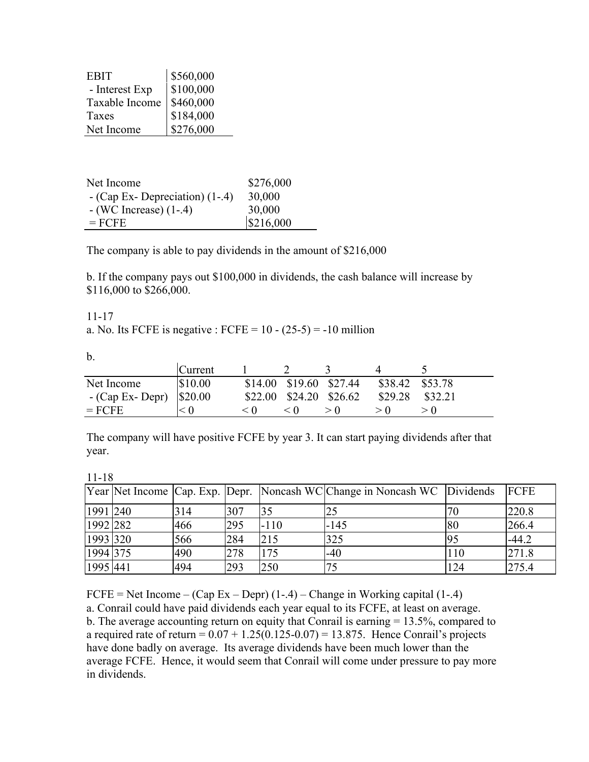| EBIT           | \$560,000                                           |
|----------------|-----------------------------------------------------|
| - Interest Exp | \$100,000                                           |
| Taxable Income | $\begin{array}{ l} $460,000 \ $184,000 \end{array}$ |
| Taxes          |                                                     |
| Net Income     | \$276,000                                           |

| Net Income                        | \$276,000 |
|-----------------------------------|-----------|
| $-$ (Cap Ex-Depreciation) $(1-4)$ | 30,000    |
| $-(WC$ Increase) $(1-.4)$         | 30,000    |
| $=$ FCFE                          | \$216,000 |

The company is able to pay dividends in the amount of \$216,000

b. If the company pays out \$100,000 in dividends, the cash balance will increase by \$116,000 to \$266,000.

11-17

a. No. Its FCFE is negative : FCFE =  $10 - (25-5) = -10$  million

b.

|                                  | <b>Current</b> |     |                            |     |                 |         |
|----------------------------------|----------------|-----|----------------------------|-----|-----------------|---------|
| Net Income                       | \$10.00        |     | \$14.00 \$19.60 \$27.44    |     | \$38.42 \$53.78 |         |
| - (Cap Ex- Depr) $\vert$ \$20.00 |                |     | $$22.00$ $$24.20$ $$26.62$ |     | \$29.28         | \$32.21 |
| $=$ FCFE                         |                | < 0 | < 0                        | > 0 |                 |         |

The company will have positive FCFE by year 3. It can start paying dividends after that year.

| ×<br>۰. |
|---------|
|         |

|          |     |     |        | Year Net Income Cap. Exp. Depr. Noncash WC Change in Noncash WC Dividends |     | <b>FCFE</b> |
|----------|-----|-----|--------|---------------------------------------------------------------------------|-----|-------------|
| 1991 240 | 314 | 307 | 35     |                                                                           | 70  | 220.8       |
| 1992 282 | 466 | 295 | $-110$ | $-145$                                                                    | 80  | 266.4       |
| 1993 320 | 566 | 284 | 215    | 325                                                                       | 95  | $-44.2$     |
| 1994 375 | 490 | 278 | 175    | $-40$                                                                     | 110 | 271.8       |
| 1995 441 | 494 | 293 | 250    |                                                                           | 124 | 275.4       |

 $FCFE = Net Income - (Cap Ex - Depr) (1-4) - Change in Working capital (1-4)$ 

a. Conrail could have paid dividends each year equal to its FCFE, at least on average. b. The average accounting return on equity that Conrail is earning = 13.5%, compared to a required rate of return =  $0.07 + 1.25(0.125 - 0.07) = 13.875$ . Hence Conrail's projects have done badly on average. Its average dividends have been much lower than the average FCFE. Hence, it would seem that Conrail will come under pressure to pay more in dividends.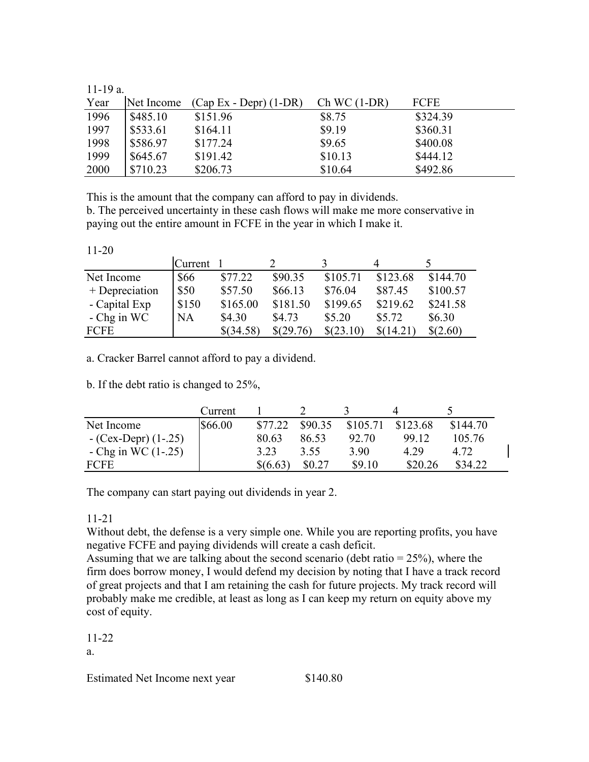|  |  | . . |   |
|--|--|-----|---|
|  |  |     | ۰ |

| Year | Net Income | $(Cap Ex - Depr) (1-DR)$ | $Ch WC(1-DR)$ | <b>FCFE</b> |
|------|------------|--------------------------|---------------|-------------|
| 1996 | \$485.10   | \$151.96                 | \$8.75        | \$324.39    |
| 1997 | \$533.61   | \$164.11                 | \$9.19        | \$360.31    |
| 1998 | \$586.97   | \$177.24                 | \$9.65        | \$400.08    |
| 1999 | \$645.67   | \$191.42                 | \$10.13       | \$444.12    |
| 2000 | \$710.23   | \$206.73                 | \$10.64       | \$492.86    |

This is the amount that the company can afford to pay in dividends.

b. The perceived uncertainty in these cash flows will make me more conservative in paying out the entire amount in FCFE in the year in which I make it.

|                | Current 1 |           |           |           |           |          |
|----------------|-----------|-----------|-----------|-----------|-----------|----------|
| Net Income     | \$66      | \$77.22   | \$90.35   | \$105.71  | \$123.68  | \$144.70 |
| + Depreciation | \$50      | \$57.50   | \$66.13   | \$76.04   | \$87.45   | \$100.57 |
| - Capital Exp  | \$150     | \$165.00  | \$181.50  | \$199.65  | \$219.62  | \$241.58 |
| $-$ Chg in WC  | <b>NA</b> | \$4.30    | \$4.73    | \$5.20    | \$5.72    | \$6.30   |
| FCFE           |           | \$(34.58) | \$(29.76) | \$(23.10) | \$(14.21) | \$(2.60) |

a. Cracker Barrel cannot afford to pay a dividend.

b. If the debt ratio is changed to 25%,

|                       | Current |          |         |          |          |          |
|-----------------------|---------|----------|---------|----------|----------|----------|
| Net Income            | \$66.00 | \$77.22  | \$90.35 | \$105.71 | \$123.68 | \$144.70 |
| $-(Cex-Depr)(1-.25)$  |         | 80.63    | 86.53   | 92.70    | 99 12    | 105.76   |
| - Chg in WC $(1-.25)$ |         | 3 2 3    | 3.55    | 3.90     | 4.29     | 4.72     |
| <b>FCFE</b>           |         | \$(6.63) | \$0.27  | \$9.10   | \$20.26  | \$34.22  |

The company can start paying out dividends in year 2.

### 11-21

Without debt, the defense is a very simple one. While you are reporting profits, you have negative FCFE and paying dividends will create a cash deficit.

Assuming that we are talking about the second scenario (debt ratio  $= 25\%$ ), where the firm does borrow money, I would defend my decision by noting that I have a track record of great projects and that I am retaining the cash for future projects. My track record will probably make me credible, at least as long as I can keep my return on equity above my cost of equity.

# 11-22

a.

Estimated Net Income next year \$140.80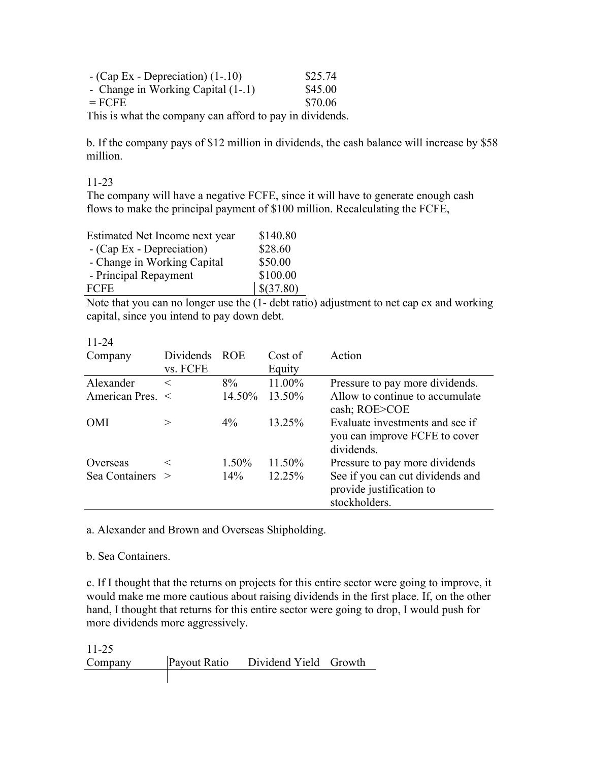| $-$ (Cap Ex - Depreciation) $(1-.10)$                    | \$25.74 |
|----------------------------------------------------------|---------|
| - Change in Working Capital (1-.1)                       | \$45.00 |
| $=$ FCFE                                                 | \$70.06 |
| This is what the company can afford to pay in dividends. |         |

b. If the company pays of \$12 million in dividends, the cash balance will increase by \$58 million.

11-23

The company will have a negative FCFE, since it will have to generate enough cash flows to make the principal payment of \$100 million. Recalculating the FCFE,

| Estimated Net Income next year | \$140.80  |
|--------------------------------|-----------|
| - (Cap Ex - Depreciation)      | \$28.60   |
| - Change in Working Capital    | \$50.00   |
| - Principal Repayment          | \$100.00  |
| <b>FCFE</b>                    | \$(37.80) |

Note that you can no longer use the (1- debt ratio) adjustment to net cap ex and working capital, since you intend to pay down debt.

| Company          | Dividends | <b>ROE</b> | Cost of | Action                                                                         |
|------------------|-----------|------------|---------|--------------------------------------------------------------------------------|
|                  | vs. FCFE  |            | Equity  |                                                                                |
| Alexander        | $\,<\,$   | $8\%$      | 11.00%  | Pressure to pay more dividends.                                                |
| American Pres. < |           | 14.50%     | 13.50%  | Allow to continue to accumulate<br>cash; ROE>COE                               |
| <b>OMI</b>       |           | $4\%$      | 13.25%  | Evaluate investments and see if<br>you can improve FCFE to cover<br>dividends. |
| Overseas         |           | 1.50%      | 11.50%  | Pressure to pay more dividends                                                 |
| Sea Containers > |           | $14\%$     | 12.25%  | See if you can cut dividends and<br>provide justification to<br>stockholders.  |

11-24

a. Alexander and Brown and Overseas Shipholding.

b. Sea Containers.

c. If I thought that the returns on projects for this entire sector were going to improve, it would make me more cautious about raising dividends in the first place. If, on the other hand, I thought that returns for this entire sector were going to drop, I would push for more dividends more aggressively.

11-25 Company Payout Ratio Dividend Yield Growth